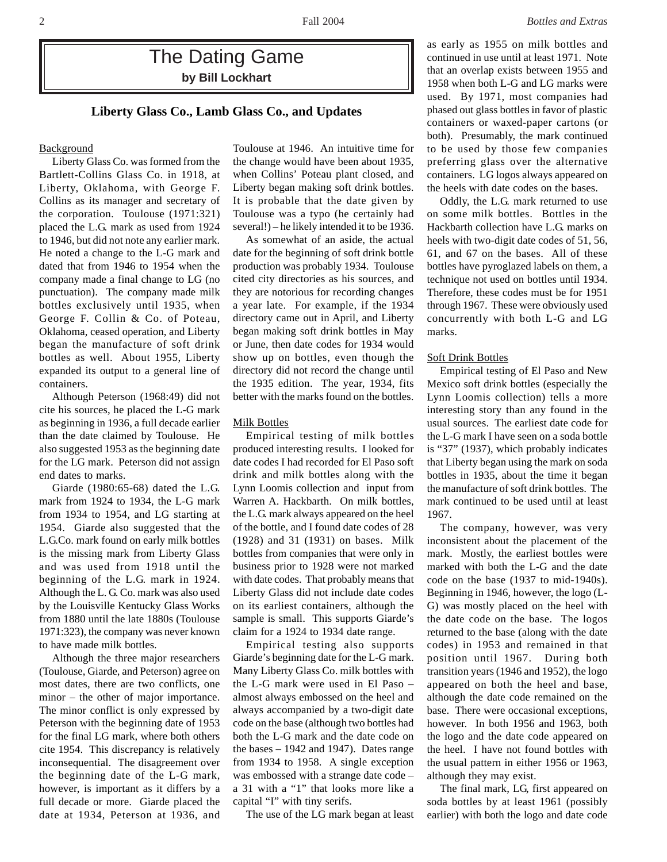# The Dating Game **by Bill Lockhart**

# **Liberty Glass Co., Lamb Glass Co., and Updates**

# **Background**

Liberty Glass Co. was formed from the Bartlett-Collins Glass Co. in 1918, at Liberty, Oklahoma, with George F. Collins as its manager and secretary of the corporation. Toulouse (1971:321) placed the L.G. mark as used from 1924 to 1946, but did not note any earlier mark. He noted a change to the L-G mark and dated that from 1946 to 1954 when the company made a final change to LG (no punctuation). The company made milk bottles exclusively until 1935, when George F. Collin & Co. of Poteau, Oklahoma, ceased operation, and Liberty began the manufacture of soft drink bottles as well. About 1955, Liberty expanded its output to a general line of containers.

Although Peterson (1968:49) did not cite his sources, he placed the L-G mark as beginning in 1936, a full decade earlier than the date claimed by Toulouse. He also suggested 1953 as the beginning date for the LG mark. Peterson did not assign end dates to marks.

Giarde (1980:65-68) dated the L.G. mark from 1924 to 1934, the L-G mark from 1934 to 1954, and LG starting at 1954. Giarde also suggested that the L.G.Co. mark found on early milk bottles is the missing mark from Liberty Glass and was used from 1918 until the beginning of the L.G. mark in 1924. Although the L. G. Co. mark was also used by the Louisville Kentucky Glass Works from 1880 until the late 1880s (Toulouse 1971:323), the company was never known to have made milk bottles.

Although the three major researchers (Toulouse, Giarde, and Peterson) agree on most dates, there are two conflicts, one minor – the other of major importance. The minor conflict is only expressed by Peterson with the beginning date of 1953 for the final LG mark, where both others cite 1954. This discrepancy is relatively inconsequential. The disagreement over the beginning date of the L-G mark, however, is important as it differs by a full decade or more. Giarde placed the date at 1934, Peterson at 1936, and

Toulouse at 1946. An intuitive time for the change would have been about 1935, when Collins' Poteau plant closed, and Liberty began making soft drink bottles. It is probable that the date given by Toulouse was a typo (he certainly had several!) – he likely intended it to be 1936.

As somewhat of an aside, the actual date for the beginning of soft drink bottle production was probably 1934. Toulouse cited city directories as his sources, and they are notorious for recording changes a year late. For example, if the 1934 directory came out in April, and Liberty began making soft drink bottles in May or June, then date codes for 1934 would show up on bottles, even though the directory did not record the change until the 1935 edition. The year, 1934, fits better with the marks found on the bottles.

# Milk Bottles

Empirical testing of milk bottles produced interesting results. I looked for date codes I had recorded for El Paso soft drink and milk bottles along with the Lynn Loomis collection and input from Warren A. Hackbarth. On milk bottles, the L.G. mark always appeared on the heel of the bottle, and I found date codes of 28 (1928) and 31 (1931) on bases. Milk bottles from companies that were only in business prior to 1928 were not marked with date codes. That probably means that Liberty Glass did not include date codes on its earliest containers, although the sample is small. This supports Giarde's claim for a 1924 to 1934 date range.

Empirical testing also supports Giarde's beginning date for the L-G mark. Many Liberty Glass Co. milk bottles with the L-G mark were used in El Paso – almost always embossed on the heel and always accompanied by a two-digit date code on the base (although two bottles had both the L-G mark and the date code on the bases – 1942 and 1947). Dates range from 1934 to 1958. A single exception was embossed with a strange date code – a 31 with a "1" that looks more like a capital "I" with tiny serifs.

The use of the LG mark began at least

as early as 1955 on milk bottles and continued in use until at least 1971. Note that an overlap exists between 1955 and 1958 when both L-G and LG marks were used. By 1971, most companies had phased out glass bottles in favor of plastic containers or waxed-paper cartons (or both). Presumably, the mark continued to be used by those few companies preferring glass over the alternative containers. LG logos always appeared on the heels with date codes on the bases.

Oddly, the L.G. mark returned to use on some milk bottles. Bottles in the Hackbarth collection have L.G. marks on heels with two-digit date codes of 51, 56, 61, and 67 on the bases. All of these bottles have pyroglazed labels on them, a technique not used on bottles until 1934. Therefore, these codes must be for 1951 through 1967. These were obviously used concurrently with both L-G and LG marks.

### Soft Drink Bottles

Empirical testing of El Paso and New Mexico soft drink bottles (especially the Lynn Loomis collection) tells a more interesting story than any found in the usual sources. The earliest date code for the L-G mark I have seen on a soda bottle is "37" (1937), which probably indicates that Liberty began using the mark on soda bottles in 1935, about the time it began the manufacture of soft drink bottles. The mark continued to be used until at least 1967.

The company, however, was very inconsistent about the placement of the mark. Mostly, the earliest bottles were marked with both the L-G and the date code on the base (1937 to mid-1940s). Beginning in 1946, however, the logo (L-G) was mostly placed on the heel with the date code on the base. The logos returned to the base (along with the date codes) in 1953 and remained in that position until 1967. During both transition years (1946 and 1952), the logo appeared on both the heel and base, although the date code remained on the base. There were occasional exceptions, however. In both 1956 and 1963, both the logo and the date code appeared on the heel. I have not found bottles with the usual pattern in either 1956 or 1963, although they may exist.

The final mark, LG, first appeared on soda bottles by at least 1961 (possibly earlier) with both the logo and date code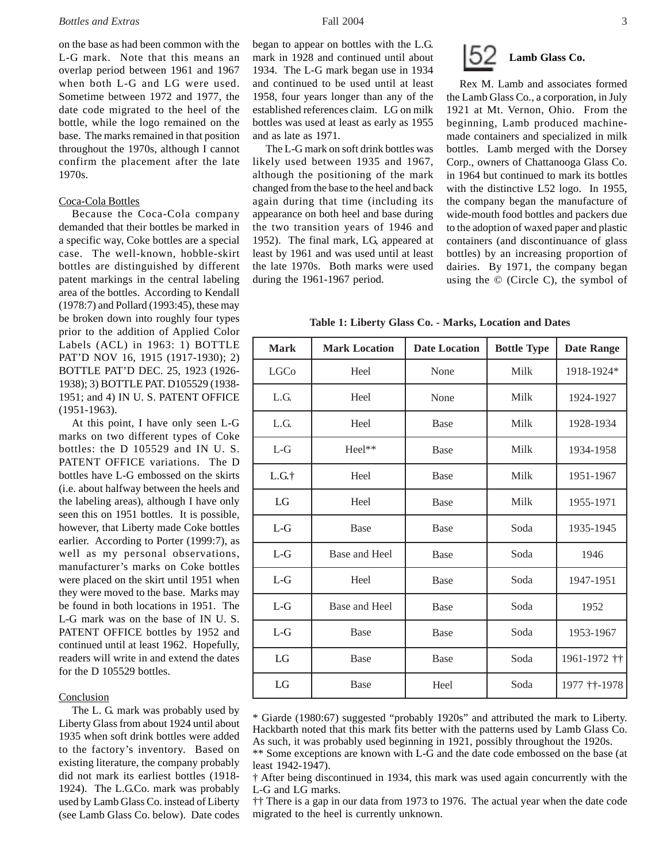on the base as had been common with the L-G mark. Note that this means an overlap period between 1961 and 1967 when both L-G and LG were used. Sometime between 1972 and 1977, the date code migrated to the heel of the bottle, while the logo remained on the base. The marks remained in that position throughout the 1970s, although I cannot confirm the placement after the late 1970s.

#### Coca-Cola Bottles

Because the Coca-Cola company demanded that their bottles be marked in a specific way, Coke bottles are a special case. The well-known, hobble-skirt bottles are distinguished by different patent markings in the central labeling area of the bottles. According to Kendall (1978:7) and Pollard (1993:45), these may be broken down into roughly four types prior to the addition of Applied Color Labels (ACL) in 1963: 1) BOTTLE PAT'D NOV 16, 1915 (1917-1930); 2) BOTTLE PAT'D DEC. 25, 1923 (1926- 1938); 3) BOTTLE PAT. D105529 (1938- 1951; and 4) IN U. S. PATENT OFFICE (1951-1963).

At this point, I have only seen L-G marks on two different types of Coke bottles: the D 105529 and IN U. S. PATENT OFFICE variations. The D bottles have L-G embossed on the skirts (i.e. about halfway between the heels and the labeling areas), although I have only seen this on 1951 bottles. It is possible, however, that Liberty made Coke bottles earlier. According to Porter (1999:7), as well as my personal observations, manufacturer's marks on Coke bottles were placed on the skirt until 1951 when they were moved to the base. Marks may be found in both locations in 1951. The L-G mark was on the base of IN U. S. PATENT OFFICE bottles by 1952 and continued until at least 1962. Hopefully, readers will write in and extend the dates for the D 105529 bottles.

## **Conclusion**

The L. G. mark was probably used by Liberty Glass from about 1924 until about 1935 when soft drink bottles were added to the factory's inventory. Based on existing literature, the company probably did not mark its earliest bottles (1918- 1924). The L.G.Co. mark was probably used by Lamb Glass Co. instead of Liberty (see Lamb Glass Co. below). Date codes began to appear on bottles with the L.G. mark in 1928 and continued until about 1934. The L-G mark began use in 1934 and continued to be used until at least 1958, four years longer than any of the established references claim. LG on milk bottles was used at least as early as 1955 and as late as 1971.

The L-G mark on soft drink bottles was likely used between 1935 and 1967, although the positioning of the mark changed from the base to the heel and back again during that time (including its appearance on both heel and base during the two transition years of 1946 and 1952). The final mark, LG, appeared at least by 1961 and was used until at least the late 1970s. Both marks were used during the 1961-1967 period.



Rex M. Lamb and associates formed the Lamb Glass Co., a corporation, in July 1921 at Mt. Vernon, Ohio. From the beginning, Lamb produced machinemade containers and specialized in milk bottles. Lamb merged with the Dorsey Corp., owners of Chattanooga Glass Co. in 1964 but continued to mark its bottles with the distinctive L52 logo. In 1955, the company began the manufacture of wide-mouth food bottles and packers due to the adoption of waxed paper and plastic containers (and discontinuance of glass bottles) by an increasing proportion of dairies. By 1971, the company began using the © (Circle C), the symbol of

**Table 1: Liberty Glass Co. - Marks, Location and Dates**

| <b>Mark</b> | <b>Mark Location</b> | <b>Date Location</b> | <b>Bottle Type</b> | <b>Date Range</b> |
|-------------|----------------------|----------------------|--------------------|-------------------|
| <b>LGCo</b> | Heel                 | None                 | Milk               | 1918-1924*        |
| L.G.        | Heel                 | None                 | Milk               | 1924-1927         |
| L.G.        | Heel                 | <b>Base</b>          | Milk               | 1928-1934         |
| $L-G$       | Heel**               | <b>Base</b>          | Milk               | 1934-1958         |
| L.G.t       | Heel                 | <b>Base</b>          | Milk               | 1951-1967         |
| LG          | Heel                 | <b>Base</b>          | Milk               | 1955-1971         |
| $L-G$       | Base                 | <b>Base</b>          | Soda               | 1935-1945         |
| $L-G$       | Base and Heel        | <b>Base</b>          | Soda               | 1946              |
| $L-G$       | Heel                 | <b>Base</b>          | Soda               | 1947-1951         |
| $L-G$       | Base and Heel        | <b>Base</b>          | Soda               | 1952              |
| $L-G$       | Base                 | <b>Base</b>          | Soda               | 1953-1967         |
| LG          | Base                 | <b>Base</b>          | Soda               | 1961-1972 ††      |
| LG          | Base                 | Heel                 | Soda               | 1977 † † - 1978   |

\* Giarde (1980:67) suggested "probably 1920s" and attributed the mark to Liberty. Hackbarth noted that this mark fits better with the patterns used by Lamb Glass Co. As such, it was probably used beginning in 1921, possibly throughout the 1920s.

\*\* Some exceptions are known with L-G and the date code embossed on the base (at least 1942-1947).

†† There is a gap in our data from 1973 to 1976. The actual year when the date code migrated to the heel is currently unknown.

<sup>†</sup> After being discontinued in 1934, this mark was used again concurrently with the L-G and LG marks.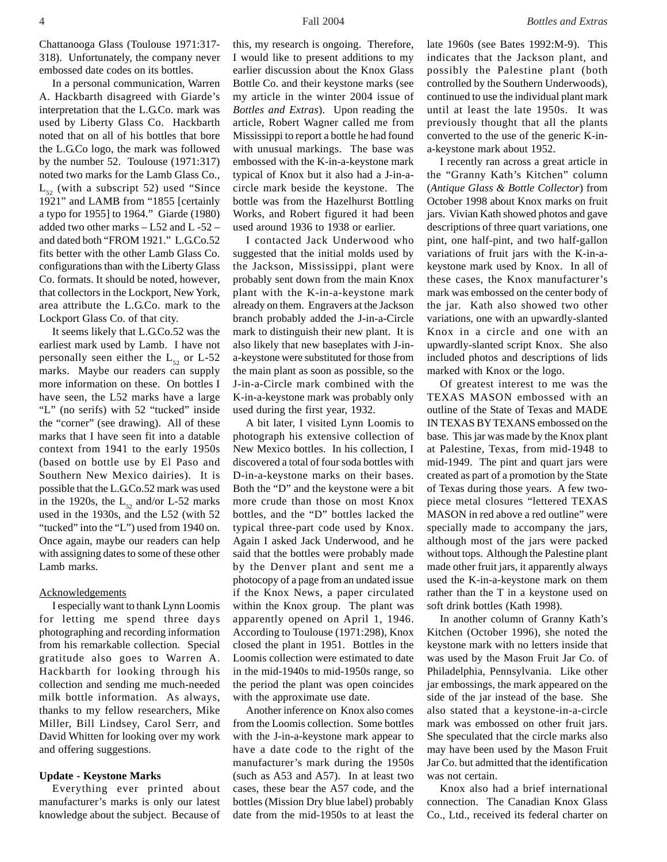Chattanooga Glass (Toulouse 1971:317- 318). Unfortunately, the company never embossed date codes on its bottles.

In a personal communication, Warren A. Hackbarth disagreed with Giarde's interpretation that the L.G.Co. mark was used by Liberty Glass Co. Hackbarth noted that on all of his bottles that bore the L.G.Co logo, the mark was followed by the number 52. Toulouse (1971:317) noted two marks for the Lamb Glass Co.,  $L_{52}$  (with a subscript 52) used "Since 1921" and LAMB from "1855 [certainly a typo for 1955] to 1964." Giarde (1980) added two other marks – L52 and L -52 – and dated both "FROM 1921." L.G.Co.52 fits better with the other Lamb Glass Co. configurations than with the Liberty Glass Co. formats. It should be noted, however, that collectors in the Lockport, New York, area attribute the L.G.Co. mark to the Lockport Glass Co. of that city.

It seems likely that L.G.Co.52 was the earliest mark used by Lamb. I have not personally seen either the  $L_{52}$  or L-52 marks. Maybe our readers can supply more information on these. On bottles I have seen, the L52 marks have a large "L" (no serifs) with 52 "tucked" inside the "corner" (see drawing). All of these marks that I have seen fit into a datable context from 1941 to the early 1950s (based on bottle use by El Paso and Southern New Mexico dairies). It is possible that the L.G.Co.52 mark was used in the 1920s, the  $L_{52}$  and/or L-52 marks used in the 1930s, and the L52 (with 52 "tucked" into the "L") used from 1940 on. Once again, maybe our readers can help with assigning dates to some of these other Lamb marks.

## Acknowledgements

I especially want to thank Lynn Loomis for letting me spend three days photographing and recording information from his remarkable collection. Special gratitude also goes to Warren A. Hackbarth for looking through his collection and sending me much-needed milk bottle information. As always, thanks to my fellow researchers, Mike Miller, Bill Lindsey, Carol Serr, and David Whitten for looking over my work and offering suggestions.

### **Update - Keystone Marks**

Everything ever printed about manufacturer's marks is only our latest knowledge about the subject. Because of this, my research is ongoing. Therefore, I would like to present additions to my earlier discussion about the Knox Glass Bottle Co. and their keystone marks (see my article in the winter 2004 issue of *Bottles and Extras*). Upon reading the article, Robert Wagner called me from Mississippi to report a bottle he had found with unusual markings. The base was embossed with the K-in-a-keystone mark typical of Knox but it also had a J-in-acircle mark beside the keystone. The bottle was from the Hazelhurst Bottling Works, and Robert figured it had been used around 1936 to 1938 or earlier.

I contacted Jack Underwood who suggested that the initial molds used by the Jackson, Mississippi, plant were probably sent down from the main Knox plant with the K-in-a-keystone mark already on them. Engravers at the Jackson branch probably added the J-in-a-Circle mark to distinguish their new plant. It is also likely that new baseplates with J-ina-keystone were substituted for those from the main plant as soon as possible, so the J-in-a-Circle mark combined with the K-in-a-keystone mark was probably only used during the first year, 1932.

A bit later, I visited Lynn Loomis to photograph his extensive collection of New Mexico bottles. In his collection, I discovered a total of four soda bottles with D-in-a-keystone marks on their bases. Both the "D" and the keystone were a bit more crude than those on most Knox bottles, and the "D" bottles lacked the typical three-part code used by Knox. Again I asked Jack Underwood, and he said that the bottles were probably made by the Denver plant and sent me a photocopy of a page from an undated issue if the Knox News, a paper circulated within the Knox group. The plant was apparently opened on April 1, 1946. According to Toulouse (1971:298), Knox closed the plant in 1951. Bottles in the Loomis collection were estimated to date in the mid-1940s to mid-1950s range, so the period the plant was open coincides with the approximate use date.

Another inference on Knox also comes from the Loomis collection. Some bottles with the J-in-a-keystone mark appear to have a date code to the right of the manufacturer's mark during the 1950s (such as A53 and A57). In at least two cases, these bear the A57 code, and the bottles (Mission Dry blue label) probably date from the mid-1950s to at least the

late 1960s (see Bates 1992:M-9). This indicates that the Jackson plant, and possibly the Palestine plant (both controlled by the Southern Underwoods), continued to use the individual plant mark until at least the late 1950s. It was previously thought that all the plants converted to the use of the generic K-ina-keystone mark about 1952.

I recently ran across a great article in the "Granny Kath's Kitchen" column (*Antique Glass & Bottle Collector*) from October 1998 about Knox marks on fruit jars. Vivian Kath showed photos and gave descriptions of three quart variations, one pint, one half-pint, and two half-gallon variations of fruit jars with the K-in-akeystone mark used by Knox. In all of these cases, the Knox manufacturer's mark was embossed on the center body of the jar. Kath also showed two other variations, one with an upwardly-slanted Knox in a circle and one with an upwardly-slanted script Knox. She also included photos and descriptions of lids marked with Knox or the logo.

Of greatest interest to me was the TEXAS MASON embossed with an outline of the State of Texas and MADE IN TEXAS BY TEXANS embossed on the base. This jar was made by the Knox plant at Palestine, Texas, from mid-1948 to mid-1949. The pint and quart jars were created as part of a promotion by the State of Texas during those years. A few twopiece metal closures "lettered TEXAS MASON in red above a red outline" were specially made to accompany the jars, although most of the jars were packed without tops. Although the Palestine plant made other fruit jars, it apparently always used the K-in-a-keystone mark on them rather than the T in a keystone used on soft drink bottles (Kath 1998).

In another column of Granny Kath's Kitchen (October 1996), she noted the keystone mark with no letters inside that was used by the Mason Fruit Jar Co. of Philadelphia, Pennsylvania. Like other jar embossings, the mark appeared on the side of the jar instead of the base. She also stated that a keystone-in-a-circle mark was embossed on other fruit jars. She speculated that the circle marks also may have been used by the Mason Fruit Jar Co. but admitted that the identification was not certain.

Knox also had a brief international connection. The Canadian Knox Glass Co., Ltd., received its federal charter on